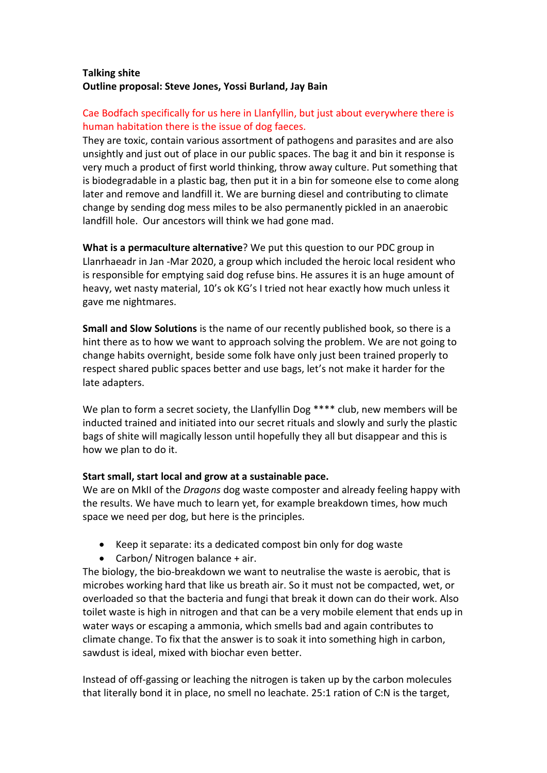## **Talking shite Outline proposal: Steve Jones, Yossi Burland, Jay Bain**

## Cae Bodfach specifically for us here in Llanfyllin, but just about everywhere there is human habitation there is the issue of dog faeces.

They are toxic, contain various assortment of pathogens and parasites and are also unsightly and just out of place in our public spaces. The bag it and bin it response is very much a product of first world thinking, throw away culture. Put something that is biodegradable in a plastic bag, then put it in a bin for someone else to come along later and remove and landfill it. We are burning diesel and contributing to climate change by sending dog mess miles to be also permanently pickled in an anaerobic landfill hole. Our ancestors will think we had gone mad.

**What is a permaculture alternative**? We put this question to our PDC group in Llanrhaeadr in Jan -Mar 2020, a group which included the heroic local resident who is responsible for emptying said dog refuse bins. He assures it is an huge amount of heavy, wet nasty material, 10's ok KG's I tried not hear exactly how much unless it gave me nightmares.

**Small and Slow Solutions** is the name of our recently published book, so there is a hint there as to how we want to approach solving the problem. We are not going to change habits overnight, beside some folk have only just been trained properly to respect shared public spaces better and use bags, let's not make it harder for the late adapters.

We plan to form a secret society, the Llanfyllin Dog \*\*\*\* club, new members will be inducted trained and initiated into our secret rituals and slowly and surly the plastic bags of shite will magically lesson until hopefully they all but disappear and this is how we plan to do it.

## **Start small, start local and grow at a sustainable pace.**

We are on MkII of the *Dragons* dog waste composter and already feeling happy with the results. We have much to learn yet, for example breakdown times, how much space we need per dog, but here is the principles.

- Keep it separate: its a dedicated compost bin only for dog waste
- Carbon/ Nitrogen balance + air.

The biology, the bio-breakdown we want to neutralise the waste is aerobic, that is microbes working hard that like us breath air. So it must not be compacted, wet, or overloaded so that the bacteria and fungi that break it down can do their work. Also toilet waste is high in nitrogen and that can be a very mobile element that ends up in water ways or escaping a ammonia, which smells bad and again contributes to climate change. To fix that the answer is to soak it into something high in carbon, sawdust is ideal, mixed with biochar even better.

Instead of off-gassing or leaching the nitrogen is taken up by the carbon molecules that literally bond it in place, no smell no leachate. 25:1 ration of C:N is the target,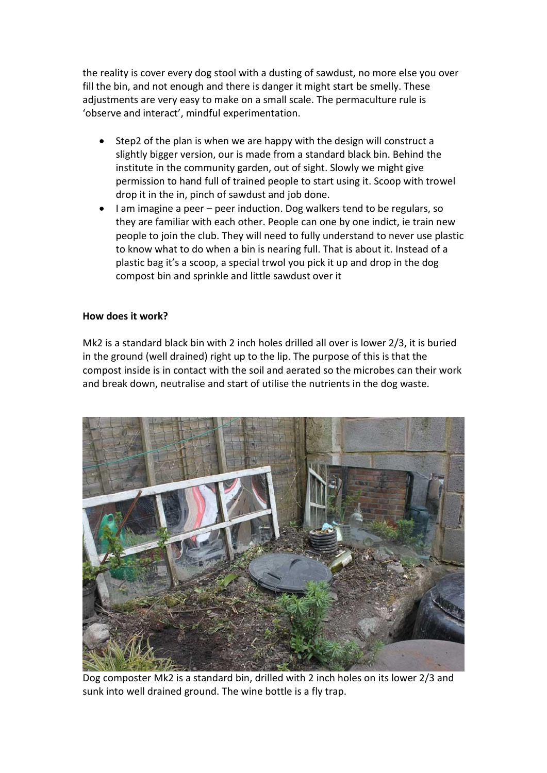the reality is cover every dog stool with a dusting of sawdust, no more else you over fill the bin, and not enough and there is danger it might start be smelly. These adjustments are very easy to make on a small scale. The permaculture rule is 'observe and interact', mindful experimentation.

- Step2 of the plan is when we are happy with the design will construct a slightly bigger version, our is made from a standard black bin. Behind the institute in the community garden, out of sight. Slowly we might give permission to hand full of trained people to start using it. Scoop with trowel drop it in the in, pinch of sawdust and job done.
- I am imagine a peer peer induction. Dog walkers tend to be regulars, so they are familiar with each other. People can one by one indict, ie train new people to join the club. They will need to fully understand to never use plastic to know what to do when a bin is nearing full. That is about it. Instead of a plastic bag it's a scoop, a special trwol you pick it up and drop in the dog compost bin and sprinkle and little sawdust over it

## **How does it work?**

Mk2 is a standard black bin with 2 inch holes drilled all over is lower 2/3, it is buried in the ground (well drained) right up to the lip. The purpose of this is that the compost inside is in contact with the soil and aerated so the microbes can their work and break down, neutralise and start of utilise the nutrients in the dog waste.



Dog composter Mk2 is a standard bin, drilled with 2 inch holes on its lower 2/3 and sunk into well drained ground. The wine bottle is a fly trap.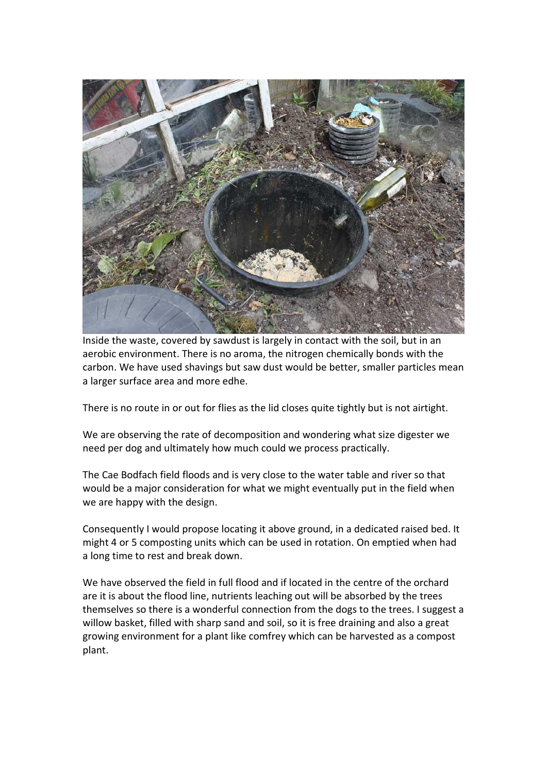

Inside the waste, covered by sawdust is largely in contact with the soil, but in an aerobic environment. There is no aroma, the nitrogen chemically bonds with the carbon. We have used shavings but saw dust would be better, smaller particles mean a larger surface area and more edhe.

There is no route in or out for flies as the lid closes quite tightly but is not airtight.

We are observing the rate of decomposition and wondering what size digester we need per dog and ultimately how much could we process practically.

The Cae Bodfach field floods and is very close to the water table and river so that would be a major consideration for what we might eventually put in the field when we are happy with the design.

Consequently I would propose locating it above ground, in a dedicated raised bed. It might 4 or 5 composting units which can be used in rotation. On emptied when had a long time to rest and break down.

We have observed the field in full flood and if located in the centre of the orchard are it is about the flood line, nutrients leaching out will be absorbed by the trees themselves so there is a wonderful connection from the dogs to the trees. I suggest a willow basket, filled with sharp sand and soil, so it is free draining and also a great growing environment for a plant like comfrey which can be harvested as a compost plant.